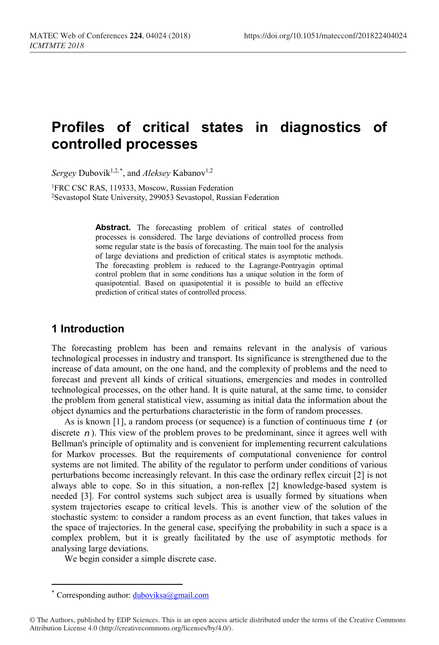# **Profiles of critical states in diagnostics of controlled processes**

Sergey Dubovik<sup>1,2,[\\*](#page-0-0)</sup>, and *Aleksey* Kabanov<sup>1,2</sup>

<sup>1</sup>FRC CSC RAS, 119333, Moscow, Russian Federation 2Sevastopol State University, 299053 Sevastopol, Russian Federation

> Abstract. The forecasting problem of critical states of controlled processes is considered. The large deviations of controlled process from some regular state is the basis of forecasting. The main tool for the analysis of large deviations and prediction of critical states is asymptotic methods. The forecasting problem is reduced to the Lagrange-Pontryagin optimal control problem that in some conditions has a unique solution in the form of quasipotential. Based on quasipotential it is possible to build an effective prediction of critical states of controlled process.

### **1 Introduction**

The forecasting problem has been and remains relevant in the analysis of various technological processes in industry and transport. Its significance is strengthened due to the increase of data amount, on the one hand, and the complexity of problems and the need to forecast and prevent all kinds of critical situations, emergencies and modes in controlled technological processes, on the other hand. It is quite natural, at the same time, to consider the problem from general statistical view, assuming as initial data the information about the object dynamics and the perturbations characteristic in the form of random processes.

As is known [1], a random process (or sequence) is a function of continuous time *t* (or discrete  $n$ ). This view of the problem proves to be predominant, since it agrees well with Bellman's principle of optimality and is convenient for implementing recurrent calculations for Markov processes. But the requirements of computational convenience for control systems are not limited. The ability of the regulator to perform under conditions of various perturbations become increasingly relevant. In this case the ordinary reflex circuit [2] is not always able to cope. So in this situation, a non-reflex [2] knowledge-based system is needed [3]. For control systems such subject area is usually formed by situations when system trajectories escape to critical levels. This is another view of the solution of the stochastic system: to consider a random process as an event function, that takes values in the space of trajectories. In the general case, specifying the probability in such a space is a complex problem, but it is greatly facilitated by the use of asymptotic methods for analysing large deviations.

We begin consider a simple discrete case.

 $\overline{a}$ 

Corresponding author:  $\frac{du \text{boviksa}(a)$ gmail.com

<span id="page-0-0"></span><sup>©</sup> The Authors, published by EDP Sciences. This is an open access article distributed under the terms of the Creative Commons Attribution License 4.0 (http://creativecommons.org/licenses/by/4.0/).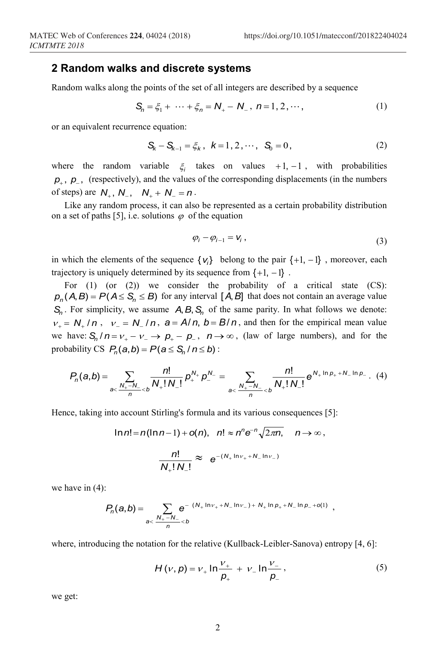#### **2 Random walks and discrete systems**

Random walks along the points of the set of all integers are described by a sequence

$$
S_n = \xi_1 + \dots + \xi_n = N_+ - N_-, \ n = 1, 2, \dots,
$$
 (1)

or an equivalent recurrence equation:

$$
S_k - S_{k-1} = \xi_k, \ \ k = 1, 2, \cdots, \ \ S_0 = 0,
$$
 (2)

where the random variable  $\xi_i$  takes on values +1, −1, with probabilities *p*<sub>+</sub>, *p*<sub>−</sub>, (respectively), and the values of the corresponding displacements (in the numbers of steps) are  $N_{+}$ ,  $N_{-}$ ,  $N_{+} + N_{-} = n$ .

Like any random process, it can also be represented as a certain probability distribution on a set of paths [5], i.e. solutions  $\varphi$  of the equation

$$
\varphi_i - \varphi_{i-1} = V_i \,, \tag{3}
$$

in which the elements of the sequence  $\{v_i\}$  belong to the pair  $\{+1, -1\}$ , moreover, each trajectory is uniquely determined by its sequence from  $\{+1, -1\}$ .

For  $(1)$  (or  $(2)$ ) we consider the probability of a critical state  $(CS)$ :  $p_n(A, B) = P(A \leq S_n \leq B)$  for any interval [*A*, *B*] that does not contain an average value  $S_n$ . For simplicity, we assume  $A, B, S_n$  of the same parity. In what follows we denote:  $v_{+} = N_{+}/n$ ,  $v_{-} = N_{-}/n$ ,  $a = A/n$ ,  $b = B/n$ , and then for the empirical mean value we have:  $S_n / n = v_+ - v_- \rightarrow p_+ - p_-$ ,  $n \rightarrow \infty$ , (law of large numbers), and for the probability CS  $P_n(a,b) = P(a \leq S_n / n \leq b)$ :

$$
P_n(a,b) = \sum_{a < \frac{N_+ - N_-}{n} < b} \frac{n!}{N_+! N_-!} p_+^{N_+} p_-^{N_-} = \sum_{a < \frac{N_+ - N_-}{n} < b} \frac{n!}{N_+! N_-!} e^{N_+ \ln p_+ + N_- \ln p_-}. (4)
$$

Hence, taking into account Stirling's formula and its various consequences [5]:

$$
\ln n! = n(\ln n - 1) + o(n), \quad n! \approx n^n e^{-n} \sqrt{2\pi n}, \quad n \to \infty,
$$

$$
\frac{n!}{N_+! N_-!} \approx e^{-(N_+ \ln v_+ + N_- \ln v_-)}
$$

we have in (4):

$$
P_n(a,b) = \sum_{a < \frac{N_+ - N_-}{n} < b} e^{-(N_+ \ln \nu_+ + N_- \ln \nu_-) + N_+ \ln p_+ + N_- \ln p_- + o(1)},
$$

where, introducing the notation for the relative (Kullback-Leibler-Sanova) entropy [4, 6]:

$$
H(v, p) = v_{+} \ln \frac{v_{+}}{p_{+}} + v_{-} \ln \frac{v_{-}}{p_{-}},
$$
\n(5)

we get: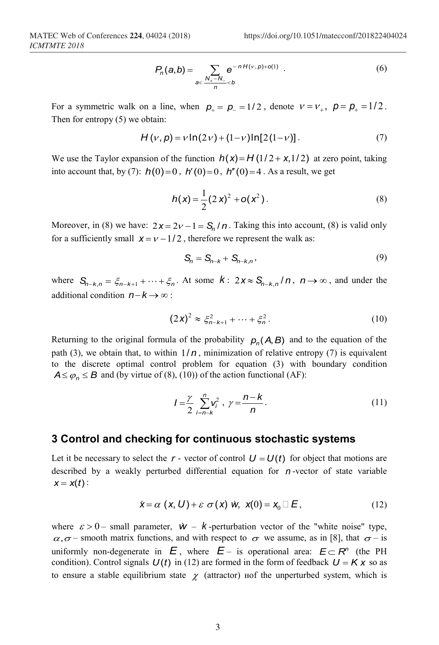$$
P_n(a,b) = \sum_{a < \frac{N_+ - N_-}{n} < b} e^{-nH(v,p) + o(1)} .
$$
 (6)

For a symmetric walk on a line, when  $p_+ = p_- = 1/2$ , denote  $v = v_+$ ,  $p = p_+ = 1/2$ . Then for entropy (5) we obtain:

$$
H(v, p) = v \ln(2v) + (1 - v) \ln[2(1 - v)].
$$
 (7)

We use the Taylor expansion of the function  $h(x) = H(1/2 + x, 1/2)$  at zero point, taking into account that, by (7):  $h(0)=0$ ,  $h'(0)=0$ ,  $h''(0)=4$ . As a result, we get

$$
h(x) = \frac{1}{2} (2 x)^2 + o(x^2).
$$
 (8)

Moreover, in (8) we have:  $2x = 2y - 1 = S_n / n$ . Taking this into account, (8) is valid only for a sufficiently small  $x = v - 1/2$ , therefore we represent the walk as:

$$
\mathsf{S}_n = \mathsf{S}_{n-k} + \mathsf{S}_{n-k,n},\tag{9}
$$

where  $S_{n-k,n} = \xi_{n-k+1} + \cdots + \xi_n$ . At some  $k: 2x \approx S_{n-k,n}/n$ ,  $n \to \infty$ , and under the additional condition *n*−*k* → ∞ :

$$
(2x)^2 \approx \xi_{n-k+1}^2 + \dots + \xi_n^2.
$$
 (10)

Returning to the original formula of the probability  $p_n(A, B)$  and to the equation of the path (3), we obtain that, to within  $1/n$ , minimization of relative entropy (7) is equivalent to the discrete optimal control problem for equation (3) with boundary condition  $A \leq \varphi_n \leq B$  and (by virtue of (8), (10)) of the action functional (AF):

$$
I = \frac{\gamma}{2} \sum_{i=n-k}^{n} v_i^2, \ \gamma = \frac{n-k}{n}.
$$
 (11)

## **3 Control and checking for continuous stochastic systems**

Let it be necessary to select the  $r$  - vector of control  $U = U(t)$  for object that motions are described by a weakly perturbed differential equation for *n* -vector of state variable  $x = x(t)$ :

$$
\dot{\mathbf{x}} = \alpha \left( \mathbf{x}, \mathbf{U} \right) + \varepsilon \sigma \left( \mathbf{x} \right) \dot{\mathbf{w}}, \ \mathbf{x}(0) = \mathbf{x}_0 \Box \mathbf{E}, \tag{12}
$$

where  $\varepsilon > 0$  – small parameter,  $\dot{w}$  – *k* -perturbation vector of the "white noise" type,  $\alpha, \sigma$  – smooth matrix functions, and with respect to  $\sigma$  we assume, as in [8], that  $\sigma$  – is uniformly non-degenerate in  $E$ , where  $E$  – is operational area:  $E \subset R^n$  (the PH condition). Control signals  $U(t)$  in (12) are formed in the form of feedback  $U = K x$  so as to ensure a stable equilibrium state  $\chi$  (attractor) nof the unperturbed system, which is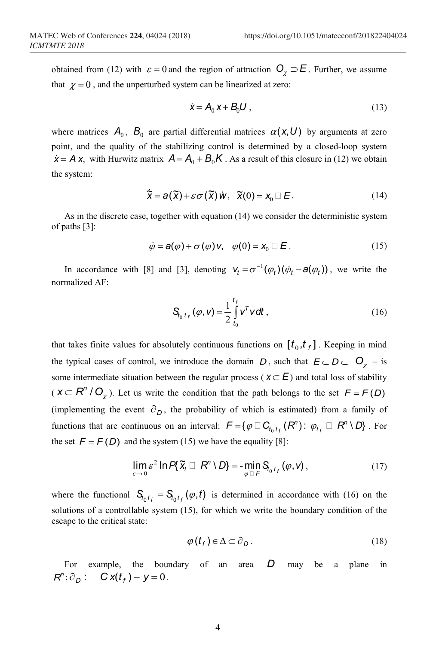obtained from (12) with  $\varepsilon = 0$  and the region of attraction  $O_\chi \supset E$ . Further, we assume that  $\chi = 0$ , and the unperturbed system can be linearized at zero:

$$
\dot{\mathbf{x}} = \mathbf{A}_0 \mathbf{x} + \mathbf{B}_0 \mathbf{U} \,, \tag{13}
$$

where matrices  $A_0$ ,  $B_0$  are partial differential matrices  $\alpha(x, U)$  by arguments at zero point, and the quality of the stabilizing control is determined by a closed-loop system  $\dot{x} = A x$ , with Hurwitz matrix  $A = A_0 + B_0 K$ . As a result of this closure in (12) we obtain the system:

$$
\widetilde{\mathbf{X}} = \mathbf{a}(\widetilde{\mathbf{X}}) + \varepsilon \sigma(\widetilde{\mathbf{X}}) \dot{\mathbf{W}}, \quad \widetilde{\mathbf{X}}(0) = \mathbf{X}_0 \square \mathbf{E}.
$$
 (14)

As in the discrete case, together with equation (14) we consider the deterministic system of paths [3]:

$$
\dot{\varphi} = \mathbf{a}(\varphi) + \sigma(\varphi) \mathbf{v}, \quad \varphi(0) = \mathbf{x}_0 \sqcup \mathbf{E} \,. \tag{15}
$$

In accordance with [8] and [3], denoting  $V_t = \sigma^{-1}(\varphi_t)(\dot{\varphi}_t - a(\varphi_t))$ , we write the normalized AF:

$$
\mathbf{S}_{t_0 t_f}(\varphi, \mathbf{v}) = \frac{1}{2} \int_{t_0}^{t_f} \mathbf{v}^T \mathbf{v} \, d\mathbf{t} \,, \tag{16}
$$

that takes finite values for absolutely continuous functions on  $[t_0, t_f]$ . Keeping in mind the typical cases of control, we introduce the domain *D*, such that  $E \subset D \subset O_\gamma$  – is some intermediate situation between the regular process ( $x \subset E$ ) and total loss of stability  $(X \subset R^n / O_\chi)$ . Let us write the condition that the path belongs to the set  $F = F(D)$ (implementing the event  $\partial_D$ , the probability of which is estimated) from a family of functions that are continuous on an interval:  $F = \{ \varphi \Box C_{t_0 t_f} (R^n) : \varphi_{t_f} \Box R^n \setminus D \}$ . For the set  $F = F(D)$  and the system (15) we have the equality [8]:

$$
\lim_{\varepsilon \to 0} \varepsilon^2 \ln P\{\widetilde{\mathbf{x}}_t \Box \mathbf{R}^n \setminus D\} = -\min_{\varphi \Box \mathbf{F}} \mathbf{S}_{t_0 t_f}(\varphi, \mathbf{v}), \qquad (17)
$$

where the functional  $S_{t_0 t_f} = S_{t_0 t_f}(\varphi, t)$  is determined in accordance with (16) on the solutions of a controllable system (15), for which we write the boundary condition of the escape to the critical state:

$$
\varphi(t_f) \in \Delta \subset \partial_D. \tag{18}
$$

For example, the boundary of an area *D* may be a plane in  $R^n: \partial_D:$   $C x(t) - y = 0$ .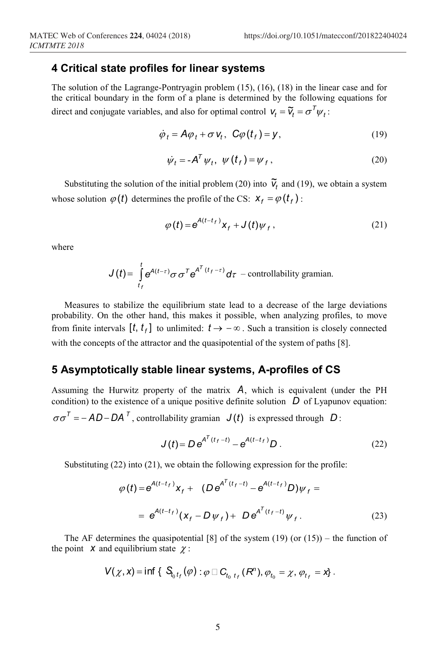#### **4 Critical state profiles for linear systems**

The solution of the Lagrange-Pontryagin problem (15), (16), (18) in the linear case and for the critical boundary in the form of a plane is determined by the following equations for direct and conjugate variables, and also for optimal control  $V_t = \tilde{V}_t = \sigma^T \psi_t$ :

$$
\dot{\varphi}_t = A\varphi_t + \sigma \, \mathsf{v}_t, \ \mathsf{C}\varphi(t_f) = \mathsf{y}, \tag{19}
$$

$$
\dot{\psi}_t = -A^T \psi_t, \ \psi(t_f) = \psi_f, \tag{20}
$$

Substituting the solution of the initial problem (20) into  $\tilde{v}_t$  and (19), we obtain a system whose solution  $\varphi(t)$  determines the profile of the CS:  $X_f = \varphi(t_f)$ :

$$
\varphi(t) = e^{A(t-t_f)} x_f + J(t) \psi_f, \qquad (21)
$$

where

$$
J(t) = \int_{t_f}^{t} e^{A(t-\tau)} \sigma \sigma^T e^{A^T (t_f - \tau)} d\tau
$$
 - controllability gramian.

Measures to stabilize the equilibrium state lead to a decrease of the large deviations probability. On the other hand, this makes it possible, when analyzing profiles, to move from finite intervals  $[t, t_f]$  to unlimited:  $t \rightarrow -\infty$ . Such a transition is closely connected with the concepts of the attractor and the quasipotential of the system of paths [8].

## **5 Asymptotically stable linear systems, A-profiles of CS**

Assuming the Hurwitz property of the matrix *A*, which is equivalent (under the PH condition) to the existence of a unique positive definite solution  $D$  of Lyapunov equation:  $\sigma \sigma^T = -AD - DA^T$ , controllability gramian  $J(t)$  is expressed through *D*:

$$
J(t) = D e^{A^{T}(t_f - t)} - e^{A(t - t_f)} D.
$$
 (22)

Substituting (22) into (21), we obtain the following expression for the profile:

$$
\varphi(t) = e^{A(t-t_f)} x_f + (De^{A^{T}(t_f-t)} - e^{A(t-t_f)}D)\psi_f =
$$
  
=  $e^{A(t-t_f)}(x_f - D\psi_f) + De^{A^{T}(t_f-t)}\psi_f.$  (23)

The AF determines the quasipotential  $[8]$  of the system  $(19)$  (or  $(15)$ ) – the function of the point *x* and equilibrium state  $\chi$ :

$$
V(\chi, x) = \inf \{ S_{t_0 t_f}(\varphi) : \varphi \Box C_{t_0 t_f}(R^n), \varphi_{t_0} = \chi, \varphi_{t_f} = x \}.
$$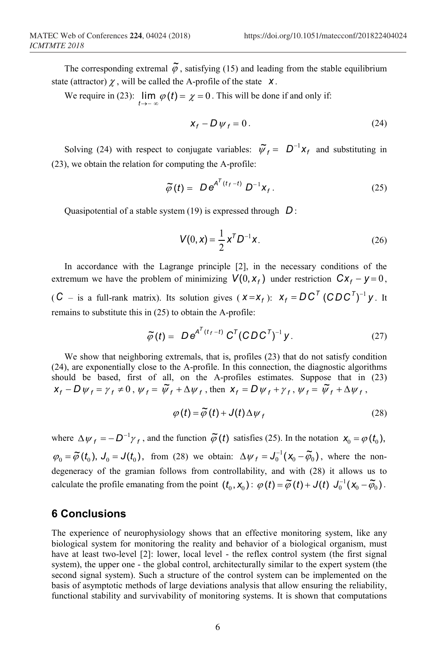The corresponding extremal  $\tilde{\varphi}$ , satisfying (15) and leading from the stable equilibrium state (attractor)  $\chi$ , will be called the A-profile of the state  $\chi$ .

We require in (23):  $\lim_{t \to -\infty} \varphi(t) = \chi = 0$ . This will be done if and only if:

$$
x_f - D \psi_f = 0. \tag{24}
$$

Solving (24) with respect to conjugate variables:  $\tilde{\psi}_f = D^{-1}x_f$  and substituting in (23), we obtain the relation for computing the A-profile:

$$
\widetilde{\varphi}(t) = D e^{A^T(t_f - t)} D^{-1} x_f. \qquad (25)
$$

Quasipotential of a stable system (19) is expressed through *D* :

$$
V(0, x) = \frac{1}{2} x^{T} D^{-1} x.
$$
 (26)

In accordance with the Lagrange principle [2], in the necessary conditions of the extremum we have the problem of minimizing  $V(0, x_f)$  under restriction  $Cx_f - y = 0$ ,  $(C -$  is a full-rank matrix). Its solution gives  $(X = X_f)$ :  $X_f = DC^T (CDC^T)^{-1} y$ . It remains to substitute this in (25) to obtain the A-profile:

$$
\widetilde{\varphi}(t) = De^{A^T(t_f-t)} C^T (CDC^T)^{-1} y.
$$
\n(27)

We show that neighboring extremals, that is, profiles (23) that do not satisfy condition (24), are exponentially close to the A-profile. In this connection, the diagnostic algorithms should be based, first of all, on the A-profiles estimates. Suppose that in (23)  $x_f - D\psi_f = \gamma_f \neq 0$ ,  $\psi_f = \tilde{\psi}_f + \Delta \psi_f$ , then  $x_f = D\psi_f + \gamma_f$ ,  $\psi_f = \tilde{\psi}_f + \Delta \psi_f$ ,

$$
\varphi(t) = \widetilde{\varphi}(t) + J(t)\Delta\psi_f
$$
 (28)

where  $\Delta \psi_f = -D^{-1} \gamma_f$ , and the function  $\tilde{\varphi}(t)$  satisfies (25). In the notation  $x_0 = \varphi(t_0)$ ,  $(\varphi_0 = \widetilde{\varphi}(t_0), J_0 = J(t_0)),$  from (28) we obtain:  $\Delta \psi_f = J_0^{-1}(\chi_0 - \widetilde{\varphi}_0)$ , where the nondegeneracy of the gramian follows from controllability, and with (28) it allows us to calculate the profile emanating from the point  $(t_0, x_0)$ :  $\varphi(t) = \widetilde{\varphi}(t) + J(t) J_0^{-1}(x_0 - \widetilde{\varphi}_0)$ .

#### **6 Conclusions**

The experience of neurophysiology shows that an effective monitoring system, like any biological system for monitoring the reality and behavior of a biological organism, must have at least two-level [2]: lower, local level - the reflex control system (the first signal system), the upper one - the global control, architecturally similar to the expert system (the second signal system). Such a structure of the control system can be implemented on the basis of asymptotic methods of large deviations analysis that allow ensuring the reliability, functional stability and survivability of monitoring systems. It is shown that computations